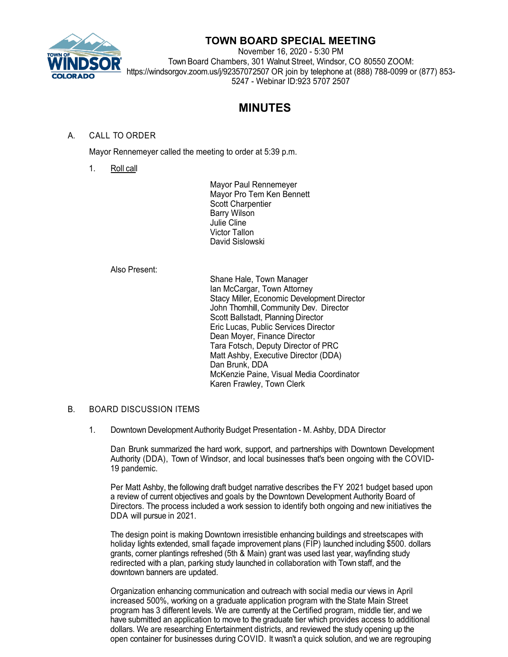

## **TOWN BOARD SPECIAL MEETING**

November 16, 2020 - 5:30 PM Town Board Chambers, 301 Walnut Street, Windsor, CO 80550 ZOOM: https://windsorgov.zoom.us/j/92357072507 OR join by telephone at (888) 788-0099 or (877) 853- 5247 - Webinar ID:923 5707 2507

# **MINUTES**

### A. CALL TO ORDER

Mayor Rennemeyer called the meeting to order at 5:39 p.m.

1. Roll call

Mayor Paul Rennemeyer Mayor Pro Tem Ken Bennett Scott Charpentier Barry Wilson Julie Cline Victor Tallon David Sislowski

#### Also Present:

Shane Hale, Town Manager Ian McCargar, Town Attorney Stacy Miller, Economic Development Director John Thornhill, Community Dev. Director Scott Ballstadt, Planning Director Eric Lucas, Public Services Director Dean Moyer, Finance Director Tara Fotsch, Deputy Director of PRC Matt Ashby, Executive Director (DDA) Dan Brunk, DDA McKenzie Paine, Visual Media Coordinator Karen Frawley, Town Clerk

#### B. BOARD DISCUSSION ITEMS

1. Downtown Development Authority Budget Presentation - M. Ashby, DDA Director

Dan Brunk summarized the hard work, support, and partnerships with Downtown Development Authority (DDA), Town of Windsor, and local businesses that's been ongoing with the COVID-19 pandemic.

Per Matt Ashby, the following draft budget narrative describes the FY 2021 budget based upon a review of current objectives and goals by the Downtown Development Authority Board of Directors. The process included a work session to identify both ongoing and new initiatives the DDA will pursue in 2021.

The design point is making Downtown irresistible enhancing buildings and streetscapes with holiday lights extended, small façade improvement plans (FIP) launched including \$500. dollars grants, corner plantings refreshed (5th & Main) grant was used last year, wayfinding study redirected with a plan, parking study launched in collaboration with Town staff, and the downtown banners are updated.

Organization enhancing communication and outreach with social media our views in April increased 500%, working on a graduate application program with the State Main Street program has 3 different levels. We are currently at the Certified program, middle tier, and we have submitted an application to move to the graduate tier which provides access to additional dollars. We are researching Entertainment districts, and reviewed the study opening up the open container for businesses during COVID. It wasn't a quick solution, and we are regrouping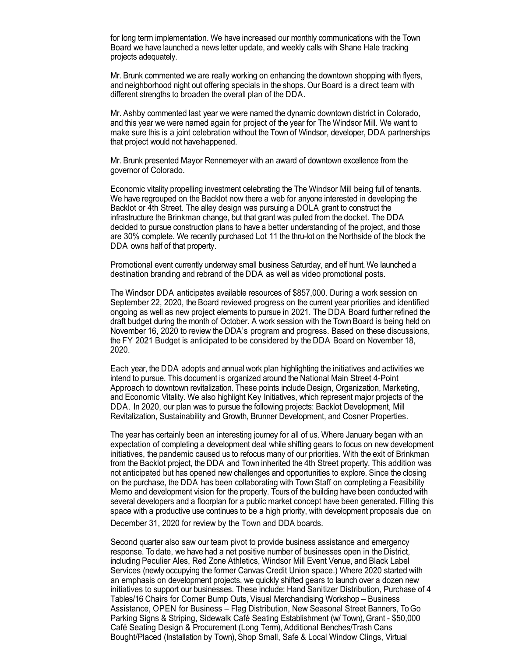for long term implementation. We have increased our monthly communications with the Town Board we have launched a news letter update, and weekly calls with Shane Hale tracking projects adequately.

Mr. Brunk commented we are really working on enhancing the downtown shopping with flyers, and neighborhood night out offering specials in the shops. Our Board is a direct team with different strengths to broaden the overall plan of the DDA.

Mr. Ashby commented last year we were named the dynamic downtown district in Colorado, and this year we were named again for project of the year for The Windsor Mill. We want to make sure this is a joint celebration without the Town of Windsor, developer, DDA partnerships that project would not havehappened.

Mr. Brunk presented Mayor Rennemeyer with an award of downtown excellence from the governor of Colorado.

Economic vitality propelling investment celebrating the The Windsor Mill being full of tenants. We have regrouped on the Backlot now there a web for anyone interested in developing the Backlot or 4th Street. The alley design was pursuing a DOLA grant to construct the infrastructure the Brinkman change, but that grant was pulled from the docket. The DDA decided to pursue construction plans to have a better understanding of the project, and those are 30% complete. We recently purchased Lot 11 the thru-lot on the Northside of the block the DDA owns half of that property.

Promotional event currently underway small business Saturday, and elf hunt. We launched a destination branding and rebrand of the DDA as well as video promotional posts.

The Windsor DDA anticipates available resources of \$857,000. During a work session on September 22, 2020, the Board reviewed progress on the current year priorities and identified ongoing as well as new project elements to pursue in 2021. The DDA Board further refined the draft budget during the month of October. A work session with the Town Board is being held on November 16, 2020 to review the DDA's program and progress. Based on these discussions, the FY 2021 Budget is anticipated to be considered by the DDA Board on November 18, 2020.

Each year, the DDA adopts and annual work plan highlighting the initiatives and activities we intend to pursue. This document is organized around the National Main Street 4-Point Approach to downtown revitalization. These points include Design, Organization, Marketing, and Economic Vitality. We also highlight Key Initiatives, which represent major projects of the DDA. In 2020, our plan was to pursue the following projects: Backlot Development, Mill Revitalization, Sustainability and Growth, Brunner Development, and Cosner Properties.

The year has certainly been an interesting journey for all of us. Where January began with an expectation of completing a development deal while shifting gears to focus on new development initiatives, the pandemic caused us to refocus many of our priorities. With the exit of Brinkman from the Backlot project, the DDA and Town inherited the 4th Street property. This addition was not anticipated but has opened new challenges and opportunities to explore. Since the closing on the purchase, the DDA has been collaborating with Town Staff on completing a Feasibility Memo and development vision for the property. Tours of the building have been conducted with several developers and a floorplan for a public market concept have been generated. Filling this space with a productive use continues to be a high priority, with development proposals due on

December 31, 2020 for review by the Town and DDA boards.

Second quarter also saw our team pivot to provide business assistance and emergency response. To date, we have had a net positive number of businesses open in the District, including Peculier Ales, Red Zone Athletics, Windsor Mill Event Venue, and Black Label Services (newly occupying the former Canvas Credit Union space.) Where 2020 started with an emphasis on development projects, we quickly shifted gears to launch over a dozen new initiatives to support our businesses. These include: Hand Sanitizer Distribution, Purchase of 4 Tables/16 Chairs for Corner Bump Outs, Visual Merchandising Workshop – Business Assistance, OPEN for Business – Flag Distribution, New Seasonal Street Banners, To Go Parking Signs & Striping, Sidewalk Café Seating Establishment (w/ Town), Grant - \$50,000 Café Seating Design & Procurement (Long Term), Additional Benches/Trash Cans Bought/Placed (Installation by Town), Shop Small, Safe & Local Window Clings, Virtual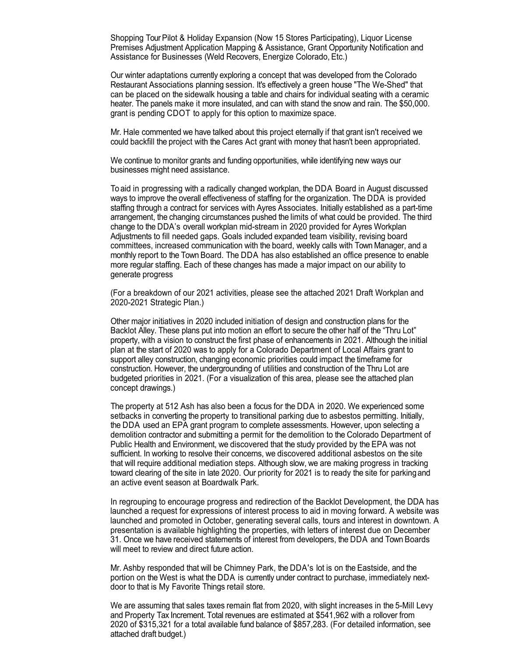Shopping Tour Pilot & Holiday Expansion (Now 15 Stores Participating), Liquor License Premises Adjustment Application Mapping & Assistance, Grant Opportunity Notification and Assistance for Businesses (Weld Recovers, Energize Colorado, Etc.)

Our winter adaptations currently exploring a concept that was developed from the Colorado Restaurant Associations planning session. It's effectively a green house "The We-Shed" that can be placed on the sidewalk housing a table and chairs for individual seating with a ceramic heater. The panels make it more insulated, and can with stand the snow and rain. The \$50,000. grant is pending CDOT to apply for this option to maximize space.

Mr. Hale commented we have talked about this project eternally if that grant isn't received we could backfill the project with the Cares Act grant with money that hasn't been appropriated.

We continue to monitor grants and funding opportunities, while identifying new ways our businesses might need assistance.

To aid in progressing with a radically changed workplan, the DDA Board in August discussed ways to improve the overall effectiveness of staffing for the organization. The DDA is provided staffing through a contract for services with Ayres Associates. Initially established as a part-time arrangement, the changing circumstances pushed the limits of what could be provided. The third change to the DDA's overall workplan mid-stream in 2020 provided for Ayres Workplan Adjustments to fill needed gaps. Goals included expanded team visibility, revising board committees, increased communication with the board, weekly calls with Town Manager, and a monthly report to the Town Board. The DDA has also established an office presence to enable more regular staffing. Each of these changes has made a major impact on our ability to generate progress

(For a breakdown of our 2021 activities, please see the attached 2021 Draft Workplan and 2020-2021 Strategic Plan.)

Other major initiatives in 2020 included initiation of design and construction plans for the Backlot Alley. These plans put into motion an effort to secure the other half of the "Thru Lot" property, with a vision to construct the first phase of enhancements in 2021. Although the initial plan at the start of 2020 was to apply for a Colorado Department of Local Affairs grant to support alley construction, changing economic priorities could impact the timeframe for construction. However, the undergrounding of utilities and construction of the Thru Lot are budgeted priorities in 2021. (For a visualization of this area, please see the attached plan concept drawings.)

The property at 512 Ash has also been a focus for the DDA in 2020. We experienced some setbacks in converting the property to transitional parking due to asbestos permitting. Initially, the DDA used an EPA grant program to complete assessments. However, upon selecting a demolition contractor and submitting a permit for the demolition to the Colorado Department of Public Health and Environment, we discovered that the study provided by the EPA was not sufficient. In working to resolve their concerns, we discovered additional asbestos on the site that will require additional mediation steps. Although slow, we are making progress in tracking toward clearing of the site in late 2020. Our priority for 2021 is to ready the site for parkingand an active event season at Boardwalk Park.

In regrouping to encourage progress and redirection of the Backlot Development, the DDA has launched a request for expressions of interest process to aid in moving forward. A website was launched and promoted in October, generating several calls, tours and interest in downtown. A presentation is available highlighting the properties, with letters of interest due on December 31. Once we have received statements of interest from developers, the DDA and Town Boards will meet to review and direct future action.

Mr. Ashby responded that will be Chimney Park, the DDA's lot is on the Eastside, and the portion on the West is what the DDA is currently under contract to purchase, immediately nextdoor to that is My Favorite Things retail store.

We are assuming that sales taxes remain flat from 2020, with slight increases in the 5-Mill Levy and Property Tax Increment. Total revenues are estimated at \$541,962 with a rollover from 2020 of \$315,321 for a total available fund balance of \$857,283. (For detailed information, see attached draft budget.)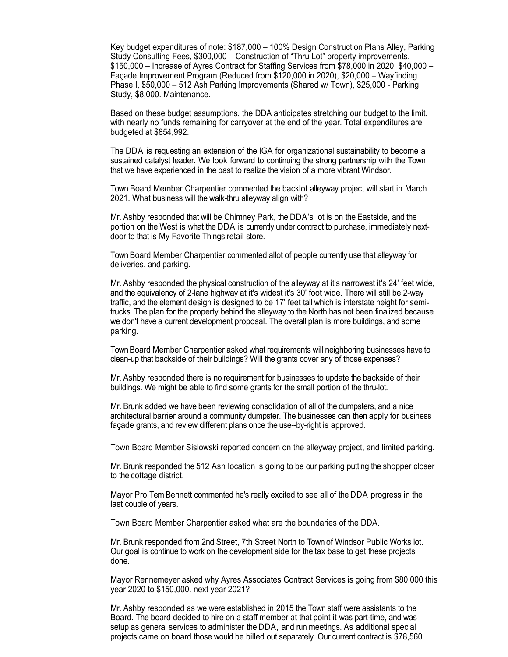Key budget expenditures of note: \$187,000 – 100% Design Construction Plans Alley, Parking Study Consulting Fees, \$300,000 – Construction of "Thru Lot" property improvements, \$150,000 – Increase of Ayres Contract for Staffing Services from \$78,000 in 2020, \$40,000 – Façade Improvement Program (Reduced from \$120,000 in 2020), \$20,000 – Wayfinding Phase I, \$50,000 – 512 Ash Parking Improvements (Shared w/ Town), \$25,000 - Parking Study, \$8,000. Maintenance.

Based on these budget assumptions, the DDA anticipates stretching our budget to the limit, with nearly no funds remaining for carryover at the end of the year. Total expenditures are budgeted at \$854,992.

The DDA is requesting an extension of the IGA for organizational sustainability to become a sustained catalyst leader. We look forward to continuing the strong partnership with the Town that we have experienced in the past to realize the vision of a more vibrant Windsor.

Town Board Member Charpentier commented the backlot alleyway project will start in March 2021. What business will the walk-thru alleyway align with?

Mr. Ashby responded that will be Chimney Park, the DDA's lot is on the Eastside, and the portion on the West is what the DDA is currently under contract to purchase, immediately nextdoor to that is My Favorite Things retail store.

Town Board Member Charpentier commented allot of people currently use that alleyway for deliveries, and parking.

Mr. Ashby responded the physical construction of the alleyway at it's narrowest it's 24' feet wide, and the equivalency of 2-lane highway at it's widest it's 30' foot wide. There will still be 2-way traffic, and the element design is designed to be 17' feet tall which is interstate height for semitrucks. The plan for the property behind the alleyway to the North has not been finalized because we don't have a current development proposal. The overall plan is more buildings, and some parking.

Town Board Member Charpentier asked what requirements will neighboring businesses have to clean-up that backside of their buildings? Will the grants cover any of those expenses?

Mr. Ashby responded there is no requirement for businesses to update the backside of their buildings. We might be able to find some grants for the small portion of the thru-lot.

Mr. Brunk added we have been reviewing consolidation of all of the dumpsters, and a nice architectural barrier around a community dumpster. The businesses can then apply for business façade grants, and review different plans once the use--by-right is approved.

Town Board Member Sislowski reported concern on the alleyway project, and limited parking.

Mr. Brunk responded the 512 Ash location is going to be our parking putting the shopper closer to the cottage district.

Mayor Pro Tem Bennett commented he's really excited to see all of the DDA progress in the last couple of years.

Town Board Member Charpentier asked what are the boundaries of the DDA.

Mr. Brunk responded from 2nd Street, 7th Street North to Town of Windsor Public Works lot. Our goal is continue to work on the development side for the tax base to get these projects done.

Mayor Rennemeyer asked why Ayres Associates Contract Services is going from \$80,000 this year 2020 to \$150,000. next year 2021?

Mr. Ashby responded as we were established in 2015 the Town staff were assistants to the Board. The board decided to hire on a staff member at that point it was part-time, and was setup as general services to administer the DDA, and run meetings. As additional special projects came on board those would be billed out separately. Our current contract is \$78,560.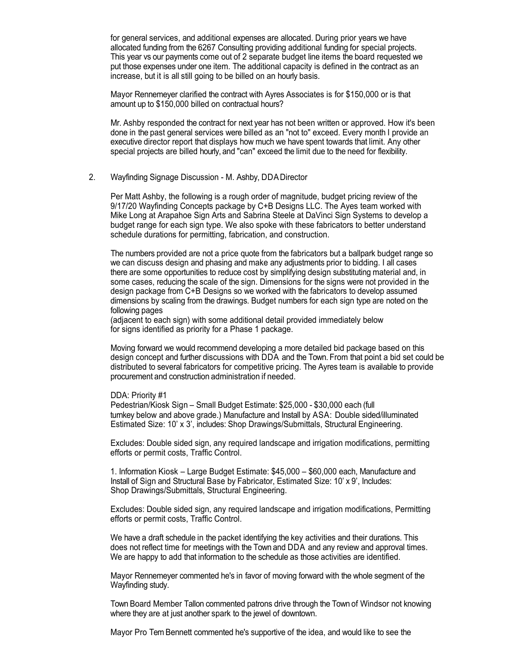for general services, and additional expenses are allocated. During prior years we have allocated funding from the 6267 Consulting providing additional funding for special projects. This year vs our payments come out of 2 separate budget line items the board requested we put those expenses under one item. The additional capacity is defined in the contract as an increase, but it is all still going to be billed on an hourly basis.

Mayor Rennemeyer clarified the contract with Ayres Associates is for \$150,000 or is that amount up to \$150,000 billed on contractual hours?

Mr. Ashby responded the contract for next year has not been written or approved. How it's been done in the past general services were billed as an "not to" exceed. Every month I provide an executive director report that displays how much we have spent towards that limit. Any other special projects are billed hourly, and "can" exceed the limit due to the need for flexibility.

#### 2. Wayfinding Signage Discussion - M. Ashby, DDADirector

Per Matt Ashby, the following is a rough order of magnitude, budget pricing review of the 9/17/20 Wayfinding Concepts package by C+B Designs LLC. The Ayes team worked with Mike Long at Arapahoe Sign Arts and Sabrina Steele at DaVinci Sign Systems to develop a budget range for each sign type. We also spoke with these fabricators to better understand schedule durations for permitting, fabrication, and construction.

The numbers provided are not a price quote from the fabricators but a ballpark budget range so we can discuss design and phasing and make any adjustments prior to bidding. I all cases there are some opportunities to reduce cost by simplifying design substituting material and, in some cases, reducing the scale of the sign. Dimensions for the signs were not provided in the design package from C+B Designs so we worked with the fabricators to develop assumed dimensions by scaling from the drawings. Budget numbers for each sign type are noted on the following pages

(adjacent to each sign) with some additional detail provided immediately below for signs identified as priority for a Phase 1 package.

Moving forward we would recommend developing a more detailed bid package based on this design concept and further discussions with DDA and the Town. From that point a bid set could be distributed to several fabricators for competitive pricing. The Ayres team is available to provide procurement and construction administration if needed.

#### DDA: Priority #1

Pedestrian/Kiosk Sign – Small Budget Estimate: \$25,000 - \$30,000 each (full turnkey below and above grade.) Manufacture and Install by ASA: Double sided/illuminated Estimated Size: 10' x 3', includes: Shop Drawings/Submittals, Structural Engineering.

Excludes: Double sided sign, any required landscape and irrigation modifications, permitting efforts or permit costs, Traffic Control.

1. Information Kiosk – Large Budget Estimate: \$45,000 – \$60,000 each, Manufacture and Install of Sign and Structural Base by Fabricator, Estimated Size: 10' x 9', Includes: Shop Drawings/Submittals, Structural Engineering.

Excludes: Double sided sign, any required landscape and irrigation modifications, Permitting efforts or permit costs, Traffic Control.

We have a draft schedule in the packet identifying the key activities and their durations. This does not reflect time for meetings with the Town and DDA and any review and approval times. We are happy to add that information to the schedule as those activities are identified.

Mayor Rennemeyer commented he's in favor of moving forward with the whole segment of the Wayfinding study.

Town Board Member Tallon commented patrons drive through the Town of Windsor not knowing where they are at just another spark to the jewel of downtown.

Mayor Pro Tem Bennett commented he's supportive of the idea, and would like to see the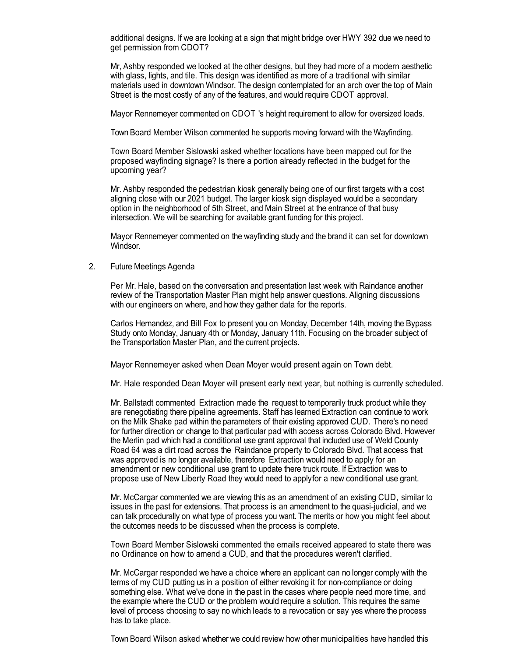additional designs. If we are looking at a sign that might bridge over HWY 392 due we need to get permission from CDOT?

Mr, Ashby responded we looked at the other designs, but they had more of a modern aesthetic with glass, lights, and tile. This design was identified as more of a traditional with similar materials used in downtown Windsor. The design contemplated for an arch over the top of Main Street is the most costly of any of the features, and would require CDOT approval.

Mayor Rennemeyer commented on CDOT 's height requirement to allow for oversized loads.

Town Board Member Wilson commented he supports moving forward with the Wayfinding.

Town Board Member Sislowski asked whether locations have been mapped out for the proposed wayfinding signage? Is there a portion already reflected in the budget for the upcoming year?

Mr. Ashby responded the pedestrian kiosk generally being one of our first targets with a cost aligning close with our 2021 budget. The larger kiosk sign displayed would be a secondary option in the neighborhood of 5th Street, and Main Street at the entrance of that busy intersection. We will be searching for available grant funding for this project.

Mayor Rennemeyer commented on the wayfinding study and the brand it can set for downtown Windsor.

2. Future Meetings Agenda

Per Mr. Hale, based on the conversation and presentation last week with Raindance another review of the Transportation Master Plan might help answer questions. Aligning discussions with our engineers on where, and how they gather data for the reports.

Carlos Hernandez, and Bill Fox to present you on Monday, December 14th, moving the Bypass Study onto Monday, January 4th or Monday, January 11th. Focusing on the broader subject of the Transportation Master Plan, and the current projects.

Mayor Rennemeyer asked when Dean Moyer would present again on Town debt.

Mr. Hale responded Dean Moyer will present early next year, but nothing is currently scheduled.

Mr. Ballstadt commented Extraction made the request to temporarily truck product while they are renegotiating there pipeline agreements. Staff has learned Extraction can continue to work on the Milk Shake pad within the parameters of their existing approved CUD. There's no need for further direction or change to that particular pad with access across Colorado Blvd. However the Merlin pad which had a conditional use grant approval that included use of Weld County Road 64 was a dirt road across the Raindance property to Colorado Blvd. That access that was approved is no longer available, therefore Extraction would need to apply for an amendment or new conditional use grant to update there truck route. If Extraction was to propose use of New Liberty Road they would need to applyfor a new conditional use grant.

Mr. McCargar commented we are viewing this as an amendment of an existing CUD, similar to issues in the past for extensions. That process is an amendment to the quasi-judicial, and we can talk procedurally on what type of process you want. The merits or how you might feel about the outcomes needs to be discussed when the process is complete.

Town Board Member Sislowski commented the emails received appeared to state there was no Ordinance on how to amend a CUD, and that the procedures weren't clarified.

Mr. McCargar responded we have a choice where an applicant can no longer comply with the terms of my CUD putting us in a position of either revoking it for non-compliance or doing something else. What we've done in the past in the cases where people need more time, and the example where the CUD or the problem would require a solution. This requires the same level of process choosing to say no which leads to a revocation or say yes where the process has to take place.

Town Board Wilson asked whether we could review how other municipalities have handled this